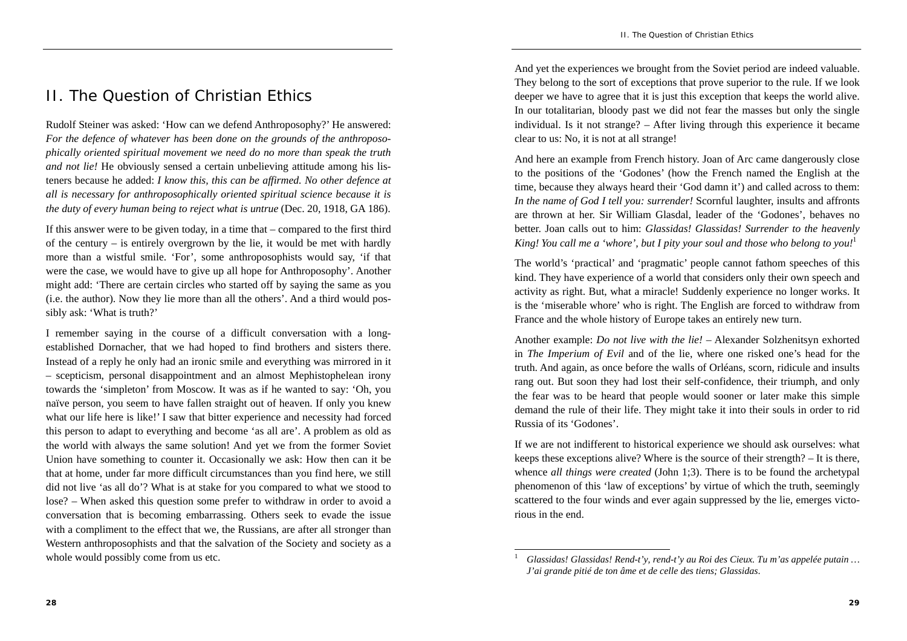## II. The Question of Christian Ethics

Rudolf Steiner was asked: 'How can we defend Anthroposophy?' He answered: *For the defence of whatever has been done on the grounds of the anthroposophically oriented spiritual movement we need do no more than speak the truth and not lie!* He obviously sensed a certain unbelieving attitude among his listeners because he added: *I know this, this can be affirmed. No other defence at all is necessary for anthroposophically oriented spiritual science because it is the duty of every human being to reject what is untrue* (Dec. 20, 1918, GA 186).

If this answer were to be given today, in a time that – compared to the first third of the century – is entirely overgrown by the lie, it would be met with hardly more than a wistful smile. 'For', some anthroposophists would say, 'if that were the case, we would have to give up all hope for Anthroposophy'. Another might add: 'There are certain circles who started off by saying the same as you (i.e. the author). Now they lie more than all the others'. And a third would possibly ask: 'What is truth?'

I remember saying in the course of a difficult conversation with a longestablished Dornacher, that we had hoped to find brothers and sisters there. Instead of a reply he only had an ironic smile and everything was mirrored in it – scepticism, personal disappointment and an almost Mephistophelean irony towards the 'simpleton' from Moscow. It was as if he wanted to say: 'Oh, you naïve person, you seem to have fallen straight out of heaven. If only you knew what our life here is like!' I saw that bitter experience and necessity had forced this person to adapt to everything and become 'as all are'. A problem as old as the world with always the same solution! And yet we from the former Soviet Union have something to counter it. Occasionally we ask: How then can it be that at home, under far more difficult circumstances than you find here, we still did not live 'as all do'? What is at stake for you compared to what we stood to lose? – When asked this question some prefer to withdraw in order to avoid a conversation that is becoming embarrassing. Others seek to evade the issue with a compliment to the effect that we, the Russians, are after all stronger than Western anthroposophists and that the salvation of the Society and society as a whole would possibly come from us etc.

And yet the experiences we brought from the Soviet period are indeed valuable. They belong to the sort of exceptions that prove superior to the rule. If we look deeper we have to agree that it is just this exception that keeps the world alive. In our totalitarian, bloody past we did not fear the masses but only the single individual. Is it not strange? – After living through this experience it became clear to us: No, it is not at all strange!

And here an example from French history. Joan of Arc came dangerously close to the positions of the 'Godones' (how the French named the English at the time, because they always heard their 'God damn it') and called across to them: *In the name of God I tell you: surrender!* Scornful laughter, insults and affronts are thrown at her. Sir William Glasdal, leader of the 'Godones', behaves no better. Joan calls out to him: *Glassidas! Glassidas! Surrender to the heavenly King! You call me a 'whore', but I pity your soul and those who belong to you!*<sup>1</sup>

The world's 'practical' and 'pragmatic' people cannot fathom speeches of this kind. They have experience of a world that considers only their own speech and activity as right. But, what a miracle! Suddenly experience no longer works. It is the 'miserable whore' who is right. The English are forced to withdraw from France and the whole history of Europe takes an entirely new turn.

Another example: *Do not live with the lie!* – Alexander Solzhenitsyn exhorted in *The Imperium of Evil* and of the lie, where one risked one's head for the truth. And again, as once before the walls of Orléans, scorn, ridicule and insults rang out. But soon they had lost their self-confidence, their triumph, and only the fear was to be heard that people would sooner or later make this simple demand the rule of their life. They might take it into their souls in order to rid Russia of its 'Godones'.

If we are not indifferent to historical experience we should ask ourselves: what keeps these exceptions alive? Where is the source of their strength? – It is there, whence *all things were created* (John 1;3). There is to be found the archetypal phenomenon of this 'law of exceptions' by virtue of which the truth, seemingly scattered to the four winds and ever again suppressed by the lie, emerges victorious in the end.

*Glassidas! Glassidas! Rend-t'y, rend-t'y au Roi des Cieux. Tu m'as appelée putain … J'ai grande pitié de ton âme et de celle des tiens; Glassidas*.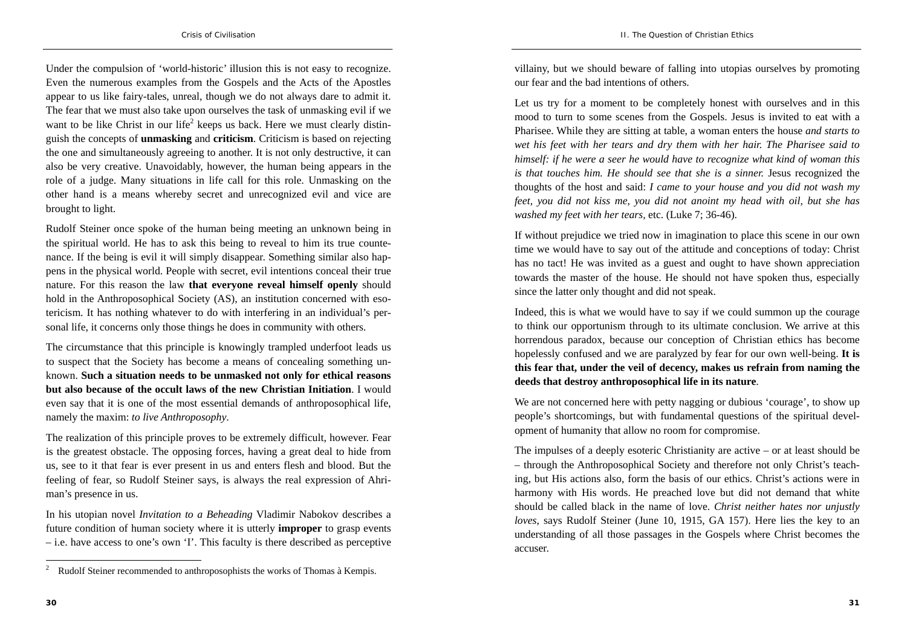Under the compulsion of 'world-historic' illusion this is not easy to recognize. Even the numerous examples from the Gospels and the Acts of the Apostles appear to us like fairy-tales, unreal, though we do not always dare to admit it. The fear that we must also take upon ourselves the task of unmasking evil if we want to be like Christ in our life<sup>2</sup> keeps us back. Here we must clearly distinguish the concepts of **unmasking** and **criticism**. Criticism is based on rejecting the one and simultaneously agreeing to another. It is not only destructive, it can also be very creative. Unavoidably, however, the human being appears in the role of a judge. Many situations in life call for this role. Unmasking on the other hand is a means whereby secret and unrecognized evil and vice are brought to light.

Rudolf Steiner once spoke of the human being meeting an unknown being in the spiritual world. He has to ask this being to reveal to him its true countenance. If the being is evil it will simply disappear. Something similar also happens in the physical world. People with secret, evil intentions conceal their true nature. For this reason the law **that everyone reveal himself openly** should hold in the Anthroposophical Society (AS), an institution concerned with esotericism. It has nothing whatever to do with interfering in an individual's personal life, it concerns only those things he does in community with others.

The circumstance that this principle is knowingly trampled underfoot leads us to suspect that the Society has become a means of concealing something unknown. **Such a situation needs to be unmasked not only for ethical reasons but also because of the occult laws of the new Christian Initiation**. I would even say that it is one of the most essential demands of anthroposophical life, namely the maxim: *to live Anthroposophy*.

The realization of this principle proves to be extremely difficult, however. Fear is the greatest obstacle. The opposing forces, having a great deal to hide from us, see to it that fear is ever present in us and enters flesh and blood. But the feeling of fear, so Rudolf Steiner says, is always the real expression of Ahriman's presence in us.

In his utopian novel *Invitation to a Beheading* Vladimir Nabokov describes a future condition of human society where it is utterly **improper** to grasp events – i.e. have access to one's own 'I'. This faculty is there described as perceptive villainy, but we should beware of falling into utopias ourselves by promoting our fear and the bad intentions of others.

Let us try for a moment to be completely honest with ourselves and in this mood to turn to some scenes from the Gospels. Jesus is invited to eat with a Pharisee. While they are sitting at table, a woman enters the house *and starts to wet his feet with her tears and dry them with her hair. The Pharisee said to himself: if he were a seer he would have to recognize what kind of woman this is that touches him. He should see that she is a sinner.* Jesus recognized the thoughts of the host and said: *I came to your house and you did not wash my feet, you did not kiss me, you did not anoint my head with oil, but she has washed my feet with her tears,* etc. (Luke 7; 36-46).

If without prejudice we tried now in imagination to place this scene in our own time we would have to say out of the attitude and conceptions of today: Christ has no tact! He was invited as a guest and ought to have shown appreciation towards the master of the house. He should not have spoken thus, especially since the latter only thought and did not speak.

Indeed, this is what we would have to say if we could summon up the courage to think our opportunism through to its ultimate conclusion. We arrive at this horrendous paradox, because our conception of Christian ethics has become hopelessly confused and we are paralyzed by fear for our own well-being. **It is this fear that, under the veil of decency, makes us refrain from naming the deeds that destroy anthroposophical life in its nature**.

We are not concerned here with petty nagging or dubious 'courage', to show up people's shortcomings, but with fundamental questions of the spiritual development of humanity that allow no room for compromise.

The impulses of a deeply esoteric Christianity are active – or at least should be – through the Anthroposophical Society and therefore not only Christ's teaching, but His actions also, form the basis of our ethics. Christ's actions were in harmony with His words. He preached love but did not demand that white should be called black in the name of love. *Christ neither hates nor unjustly loves*, says Rudolf Steiner (June 10, 1915, GA 157). Here lies the key to an understanding of all those passages in the Gospels where Christ becomes the accuser.

<sup>&</sup>lt;sup>2</sup> Rudolf Steiner recommended to anthroposophists the works of Thomas à Kempis.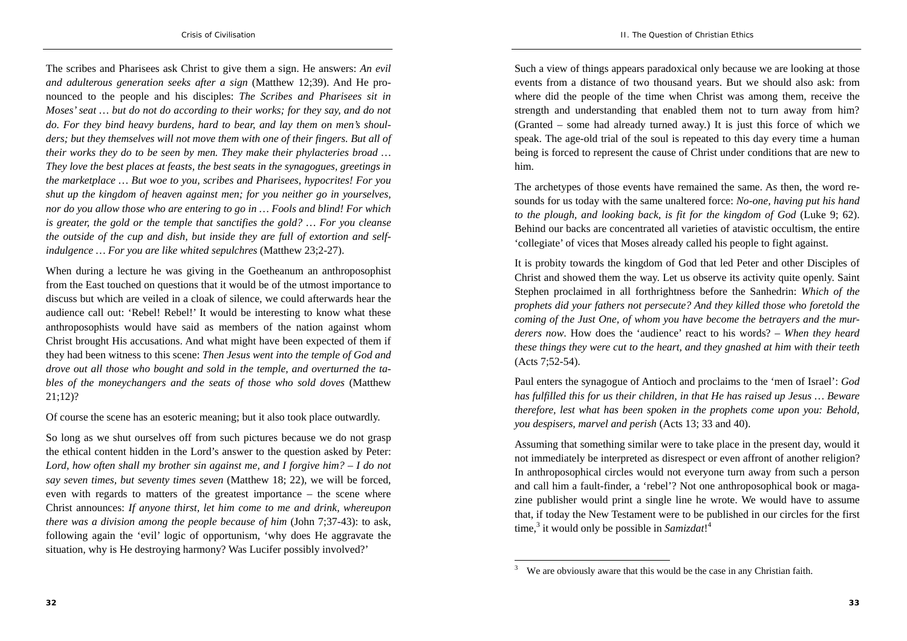The scribes and Pharisees ask Christ to give them a sign. He answers: *An evil and adulterous generation seeks after a sign* (Matthew 12;39). And He pronounced to the people and his disciples: *The Scribes and Pharisees sit in Moses' seat … but do not do according to their works; for they say, and do not do. For they bind heavy burdens, hard to bear, and lay them on men's shoulders; but they themselves will not move them with one of their fingers. But all of their works they do to be seen by men. They make their phylacteries broad … They love the best places at feasts, the best seats in the synagogues, greetings in the marketplace … But woe to you, scribes and Pharisees, hypocrites! For you shut up the kingdom of heaven against men; for you neither go in yourselves, nor do you allow those who are entering to go in … Fools and blind! For which is greater, the gold or the temple that sanctifies the gold? … For you cleanse the outside of the cup and dish, but inside they are full of extortion and selfindulgence … For you are like whited sepulchres* (Matthew 23;2-27).

When during a lecture he was giving in the Goetheanum an anthroposophist from the East touched on questions that it would be of the utmost importance to discuss but which are veiled in a cloak of silence, we could afterwards hear the audience call out: 'Rebel! Rebel!' It would be interesting to know what these anthroposophists would have said as members of the nation against whom Christ brought His accusations. And what might have been expected of them if they had been witness to this scene: *Then Jesus went into the temple of God and drove out all those who bought and sold in the temple, and overturned the tables of the moneychangers and the seats of those who sold doves* (Matthew 21;12)?

Of course the scene has an esoteric meaning; but it also took place outwardly.

So long as we shut ourselves off from such pictures because we do not grasp the ethical content hidden in the Lord's answer to the question asked by Peter: *Lord, how often shall my brother sin against me, and I forgive him? – I do not say seven times, but seventy times seven* (Matthew 18; 22), we will be forced, even with regards to matters of the greatest importance – the scene where Christ announces: *If anyone thirst, let him come to me and drink, whereupon there was a division among the people because of him* (John 7;37-43): to ask, following again the 'evil' logic of opportunism, 'why does He aggravate the situation, why is He destroying harmony? Was Lucifer possibly involved?'

Such a view of things appears paradoxical only because we are looking at those events from a distance of two thousand years. But we should also ask: from where did the people of the time when Christ was among them, receive the strength and understanding that enabled them not to turn away from him? (Granted – some had already turned away.) It is just this force of which we speak. The age-old trial of the soul is repeated to this day every time a human being is forced to represent the cause of Christ under conditions that are new to him.

The archetypes of those events have remained the same. As then, the word resounds for us today with the same unaltered force: *No-one, having put his hand to the plough, and looking back, is fit for the kingdom of God* (Luke 9; 62). Behind our backs are concentrated all varieties of atavistic occultism, the entire 'collegiate' of vices that Moses already called his people to fight against.

It is probity towards the kingdom of God that led Peter and other Disciples of Christ and showed them the way. Let us observe its activity quite openly. Saint Stephen proclaimed in all forthrightness before the Sanhedrin: *Which of the prophets did your fathers not persecute? And they killed those who foretold the coming of the Just One, of whom you have become the betrayers and the murderers now*. How does the 'audience' react to his words? – *When they heard these things they were cut to the heart, and they gnashed at him with their teeth* (Acts 7;52-54).

Paul enters the synagogue of Antioch and proclaims to the 'men of Israel': *God has fulfilled this for us their children, in that He has raised up Jesus … Beware therefore, lest what has been spoken in the prophets come upon you: Behold, you despisers, marvel and perish* (Acts 13; 33 and 40).

Assuming that something similar were to take place in the present day, would it not immediately be interpreted as disrespect or even affront of another religion? In anthroposophical circles would not everyone turn away from such a person and call him a fault-finder, a 'rebel'? Not one anthroposophical book or magazine publisher would print a single line he wrote. We would have to assume that, if today the New Testament were to be published in our circles for the first time,<sup>3</sup> it would only be possible in *Samizdat*!<sup>4</sup>

We are obviously aware that this would be the case in any Christian faith.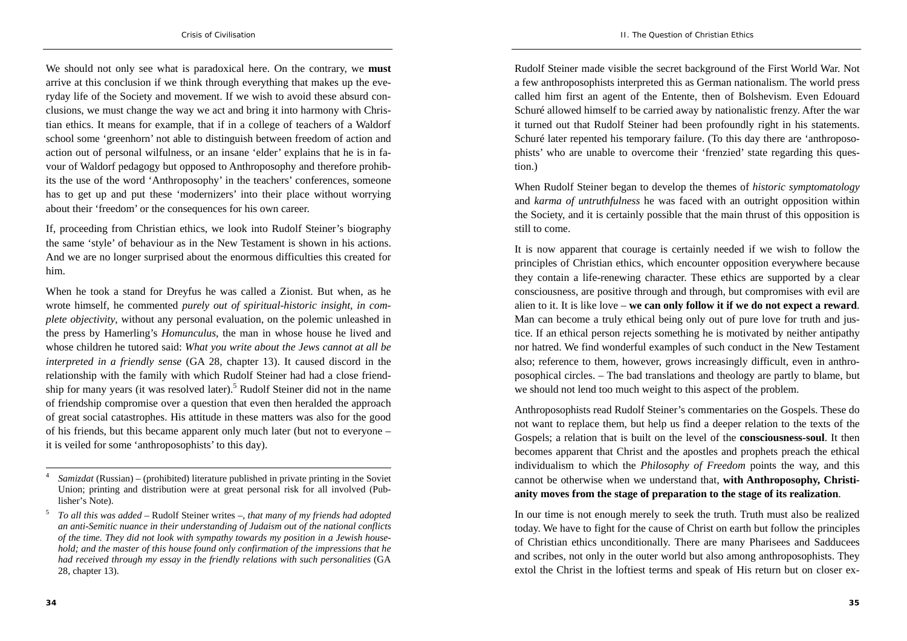We should not only see what is paradoxical here. On the contrary, we **must** arrive at this conclusion if we think through everything that makes up the everyday life of the Society and movement. If we wish to avoid these absurd conclusions, we must change the way we act and bring it into harmony with Christian ethics. It means for example, that if in a college of teachers of a Waldorf school some 'greenhorn' not able to distinguish between freedom of action and action out of personal wilfulness, or an insane 'elder' explains that he is in favour of Waldorf pedagogy but opposed to Anthroposophy and therefore prohibits the use of the word 'Anthroposophy' in the teachers' conferences, someone has to get up and put these 'modernizers' into their place without worrying about their 'freedom' or the consequences for his own career.

If, proceeding from Christian ethics, we look into Rudolf Steiner's biography the same 'style' of behaviour as in the New Testament is shown in his actions. And we are no longer surprised about the enormous difficulties this created for him.

When he took a stand for Dreyfus he was called a Zionist. But when, as he wrote himself, he commented *purely out of spiritual-historic insight, in complete objectivity*, without any personal evaluation, on the polemic unleashed in the press by Hamerling's *Homunculus*, the man in whose house he lived and whose children he tutored said: *What you write about the Jews cannot at all be interpreted in a friendly sense* (GA 28, chapter 13). It caused discord in the relationship with the family with which Rudolf Steiner had had a close friendship for many years (it was resolved later).5 Rudolf Steiner did not in the name of friendship compromise over a question that even then heralded the approach of great social catastrophes. His attitude in these matters was also for the good of his friends, but this became apparent only much later (but not to everyone – it is veiled for some 'anthroposophists' to this day).

Rudolf Steiner made visible the secret background of the First World War. Not a few anthroposophists interpreted this as German nationalism. The world press called him first an agent of the Entente, then of Bolshevism. Even Edouard Schuré allowed himself to be carried away by nationalistic frenzy. After the war it turned out that Rudolf Steiner had been profoundly right in his statements. Schuré later repented his temporary failure. (To this day there are 'anthroposophists' who are unable to overcome their 'frenzied' state regarding this question.)

When Rudolf Steiner began to develop the themes of *historic symptomatology* and *karma of untruthfulness* he was faced with an outright opposition within the Society, and it is certainly possible that the main thrust of this opposition is still to come.

It is now apparent that courage is certainly needed if we wish to follow the principles of Christian ethics, which encounter opposition everywhere because they contain a life-renewing character. These ethics are supported by a clear consciousness, are positive through and through, but compromises with evil are alien to it. It is like love – **we can only follow it if we do not expect a reward**. Man can become a truly ethical being only out of pure love for truth and justice. If an ethical person rejects something he is motivated by neither antipathy nor hatred. We find wonderful examples of such conduct in the New Testament also; reference to them, however, grows increasingly difficult, even in anthroposophical circles. – The bad translations and theology are partly to blame, but we should not lend too much weight to this aspect of the problem.

Anthroposophists read Rudolf Steiner's commentaries on the Gospels. These do not want to replace them, but help us find a deeper relation to the texts of the Gospels; a relation that is built on the level of the **consciousness-soul**. It then becomes apparent that Christ and the apostles and prophets preach the ethical individualism to which the *Philosophy of Freedom* points the way, and this cannot be otherwise when we understand that, **with Anthroposophy, Christianity moves from the stage of preparation to the stage of its realization**.

In our time is not enough merely to seek the truth. Truth must also be realized today. We have to fight for the cause of Christ on earth but follow the principles of Christian ethics unconditionally. There are many Pharisees and Sadducees and scribes, not only in the outer world but also among anthroposophists. They extol the Christ in the loftiest terms and speak of His return but on closer ex-

<sup>4</sup> *Samizdat* (Russian) – (prohibited) literature published in private printing in the Soviet Union; printing and distribution were at great personal risk for all involved (Publisher's Note).

<sup>5</sup> *To all this was added* – Rudolf Steiner writes –, *that many of my friends had adopted an anti-Semitic nuance in their understanding of Judaism out of the national conflicts of the time. They did not look with sympathy towards my position in a Jewish household; and the master of this house found only confirmation of the impressions that he had received through my essay in the friendly relations with such personalities* (GA 28, chapter 13).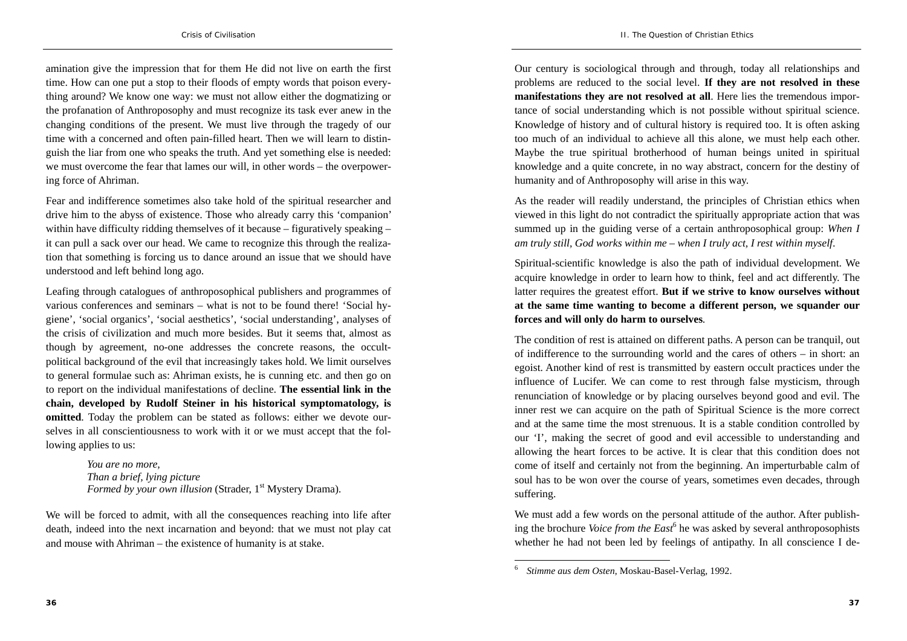amination give the impression that for them He did not live on earth the first time. How can one put a stop to their floods of empty words that poison everything around? We know one way: we must not allow either the dogmatizing or the profanation of Anthroposophy and must recognize its task ever anew in the changing conditions of the present. We must live through the tragedy of our time with a concerned and often pain-filled heart. Then we will learn to distinguish the liar from one who speaks the truth. And yet something else is needed: we must overcome the fear that lames our will, in other words – the overpowering force of Ahriman.

Fear and indifference sometimes also take hold of the spiritual researcher and drive him to the abyss of existence. Those who already carry this 'companion' within have difficulty ridding themselves of it because – figuratively speaking – it can pull a sack over our head. We came to recognize this through the realization that something is forcing us to dance around an issue that we should have understood and left behind long ago.

Leafing through catalogues of anthroposophical publishers and programmes of various conferences and seminars – what is not to be found there! 'Social hygiene', 'social organics', 'social aesthetics', 'social understanding', analyses of the crisis of civilization and much more besides. But it seems that, almost as though by agreement, no-one addresses the concrete reasons, the occultpolitical background of the evil that increasingly takes hold. We limit ourselves to general formulae such as: Ahriman exists, he is cunning etc. and then go on to report on the individual manifestations of decline. **The essential link in the chain, developed by Rudolf Steiner in his historical symptomatology, is omitted**. Today the problem can be stated as follows: either we devote ourselves in all conscientiousness to work with it or we must accept that the following applies to us:

> *You are no more, Than a brief, lying picture Formed by your own illusion* (Strader, 1<sup>st</sup> Mystery Drama).

We will be forced to admit, with all the consequences reaching into life after death, indeed into the next incarnation and beyond: that we must not play cat and mouse with Ahriman – the existence of humanity is at stake.

Our century is sociological through and through, today all relationships and problems are reduced to the social level. **If they are not resolved in these manifestations they are not resolved at all**. Here lies the tremendous importance of social understanding which is not possible without spiritual science. Knowledge of history and of cultural history is required too. It is often asking too much of an individual to achieve all this alone, we must help each other. Maybe the true spiritual brotherhood of human beings united in spiritual knowledge and a quite concrete, in no way abstract, concern for the destiny of humanity and of Anthroposophy will arise in this way.

As the reader will readily understand, the principles of Christian ethics when viewed in this light do not contradict the spiritually appropriate action that was summed up in the guiding verse of a certain anthroposophical group: *When I am truly still, God works within me – when I truly act, I rest within myself*.

Spiritual-scientific knowledge is also the path of individual development. We acquire knowledge in order to learn how to think, feel and act differently. The latter requires the greatest effort. **But if we strive to know ourselves without at the same time wanting to become a different person, we squander our forces and will only do harm to ourselves**.

The condition of rest is attained on different paths. A person can be tranquil, out of indifference to the surrounding world and the cares of others – in short: an egoist. Another kind of rest is transmitted by eastern occult practices under the influence of Lucifer. We can come to rest through false mysticism, through renunciation of knowledge or by placing ourselves beyond good and evil. The inner rest we can acquire on the path of Spiritual Science is the more correct and at the same time the most strenuous. It is a stable condition controlled by our 'I', making the secret of good and evil accessible to understanding and allowing the heart forces to be active. It is clear that this condition does not come of itself and certainly not from the beginning. An imperturbable calm of soul has to be won over the course of years, sometimes even decades, through suffering.

We must add a few words on the personal attitude of the author. After publishing the brochure *Voice from the East*<sup>6</sup> he was asked by several anthroposophists whether he had not been led by feelings of antipathy. In all conscience I de-

<sup>6</sup>*Stimme aus dem Osten*, Moskau-Basel-Verlag, 1992.